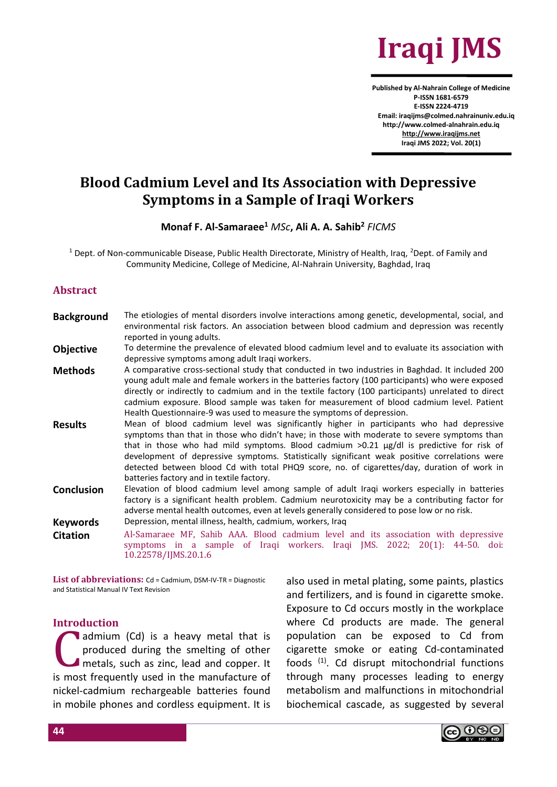

**Published by Al-Nahrain College of Medicine P-ISSN 1681-6579 E-ISSN 2224-4719 Email: iraqijms@colmed.nahrainuniv.edu.iq http://www.colmed-alnahrain.edu.iq [http://www.iraqijms.net](http://www.iraqijms.net/) Iraqi JMS 2022; Vol. 20(1)**

# **Blood Cadmium Level and Its Association with Depressive Symptoms in a Sample of Iraqi Workers**

### **Monaf F. Al-Samaraee<sup>1</sup>** *MSc***, Ali A. A. Sahib<sup>2</sup>** *FICMS*

<sup>1</sup> Dept. of Non-communicable Disease, Public Health Directorate, Ministry of Health, Iraq, <sup>2</sup>Dept. of Family and Community Medicine, College of Medicine, Al-Nahrain University, Baghdad, Iraq

#### **Abstract**

- **Background** The etiologies of mental disorders involve interactions among genetic, developmental, social, and environmental risk factors. An association between blood cadmium and depression was recently reported in young adults.
- **Objective** To determine the prevalence of elevated blood cadmium level and to evaluate its association with depressive symptoms among adult Iraqi workers.
- **Methods** A comparative cross-sectional study that conducted in two industries in Baghdad. It included 200 young adult male and female workers in the batteries factory (100 participants) who were exposed directly or indirectly to cadmium and in the textile factory (100 participants) unrelated to direct cadmium exposure. Blood sample was taken for measurement of blood cadmium level. Patient Health Questionnaire-9 was used to measure the symptoms of depression.
- **Results** Mean of blood cadmium level was significantly higher in participants who had depressive symptoms than that in those who didn't have; in those with moderate to severe symptoms than that in those who had mild symptoms. Blood cadmium  $>0.21$   $\mu$ g/dl is predictive for risk of development of depressive symptoms. Statistically significant weak positive correlations were detected between blood Cd with total PHQ9 score, no. of cigarettes/day, duration of work in batteries factory and in textile factory.
- **Conclusion** Elevation of blood cadmium level among sample of adult Iraqi workers especially in batteries factory is a significant health problem. Cadmium neurotoxicity may be a contributing factor for adverse mental health outcomes, even at levels generally considered to pose low or no risk. **Keywords** Depression, mental illness, health, cadmium, workers, Iraq

**Citation** Al-Samaraee MF, Sahib AAA. Blood cadmium level and its association with depressive symptoms in a sample of Iraqi workers. Iraqi JMS. 2022; 20(1): 44-50. doi: 10.22578/IJMS.20.1.6

**List of abbreviations:** Cd = Cadmium, DSM-IV-TR = Diagnostic and Statistical Manual IV Text Revision

#### **Introduction**

admium (Cd) is a heavy metal that is produced during the smelting of other metals, such as zinc, lead and copper. It is most frequently used in the manufacture of nickel-cadmium rechargeable batteries found in mobile phones and cordless equipment. It is C<sup></sup>

also used in metal plating, some paints, plastics and fertilizers, and is found in cigarette smoke. Exposure to Cd occurs mostly in the workplace where Cd products are made. The general population can be exposed to Cd from cigarette smoke or eating Cd-contaminated foods (1). Cd disrupt mitochondrial functions through many processes leading to energy metabolism and malfunctions in mitochondrial biochemical cascade, as suggested by several

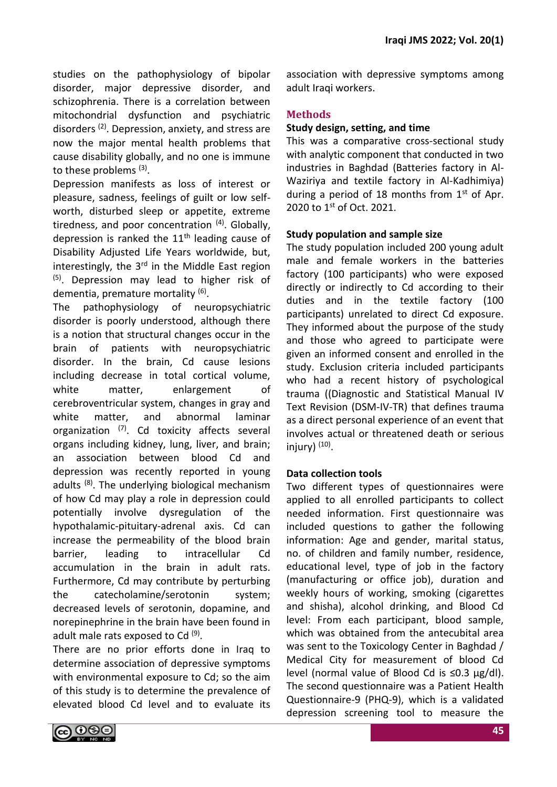studies on the pathophysiology of bipolar disorder, major depressive disorder, and schizophrenia. There is a correlation between mitochondrial dysfunction and psychiatric disorders (2). Depression, anxiety, and stress are now the major mental health problems that cause disability globally, and no one is immune to these problems <sup>(3)</sup>.

Depression manifests as loss of interest or pleasure, sadness, feelings of guilt or low selfworth, disturbed sleep or appetite, extreme tiredness, and poor concentration <sup>(4)</sup>. Globally, depression is ranked the  $11<sup>th</sup>$  leading cause of Disability Adjusted Life Years worldwide, but, interestingly, the  $3<sup>rd</sup>$  in the Middle East region  $(5)$ . Depression may lead to higher risk of dementia, premature mortality <sup>(6)</sup>.

The pathophysiology of neuropsychiatric disorder is poorly understood, although there is a notion that structural changes occur in the brain of patients with neuropsychiatric disorder. In the brain, Cd cause lesions including decrease in total cortical volume, white matter, enlargement of cerebroventricular system, changes in gray and white matter, and abnormal laminar organization  $(7)$ . Cd toxicity affects several organs including kidney, lung, liver, and brain; an association between blood Cd and depression was recently reported in young adults (8). The underlying biological mechanism of how Cd may play a role in depression could potentially involve dysregulation of the hypothalamic-pituitary-adrenal axis. Cd can increase the permeability of the blood brain barrier, leading to intracellular Cd accumulation in the brain in adult rats. Furthermore, Cd may contribute by perturbing the catecholamine/serotonin system; decreased levels of serotonin, dopamine, and norepinephrine in the brain have been found in adult male rats exposed to Cd<sup>(9)</sup>.

There are no prior efforts done in Iraq to determine association of depressive symptoms with environmental exposure to Cd; so the aim of this study is to determine the prevalence of elevated blood Cd level and to evaluate its association with depressive symptoms among adult Iraqi workers.

# **Methods**

### **Study design, setting, and time**

This was a comparative cross-sectional study with analytic component that conducted in two industries in Baghdad (Batteries factory in Al-Waziriya and textile factory in Al-Kadhimiya) during a period of 18 months from  $1<sup>st</sup>$  of Apr. 2020 to 1<sup>st</sup> of Oct. 2021.

# **Study population and sample size**

The study population included 200 young adult male and female workers in the batteries factory (100 participants) who were exposed directly or indirectly to Cd according to their duties and in the textile factory (100 participants) unrelated to direct Cd exposure. They informed about the purpose of the study and those who agreed to participate were given an informed consent and enrolled in the study. Exclusion criteria included participants who had a recent history of psychological trauma ((Diagnostic and Statistical Manual IV Text Revision (DSM-IV-TR) that defines trauma as a direct personal experience of an event that involves actual or threatened death or serious injury) (10) .

# **Data collection tools**

Two different types of questionnaires were applied to all enrolled participants to collect needed information. First questionnaire was included questions to gather the following information: Age and gender, marital status, no. of children and family number, residence, educational level, type of job in the factory (manufacturing or office job), duration and weekly hours of working, smoking (cigarettes and shisha), alcohol drinking, and Blood Cd level: From each participant, blood sample, which was obtained from the antecubital area was sent to the Toxicology Center in Baghdad / Medical City for measurement of blood Cd level (normal value of Blood Cd is ≤0.3 µg/dl). The second questionnaire was a Patient Health Questionnaire-9 (PHQ-9), which is a validated depression screening tool to measure the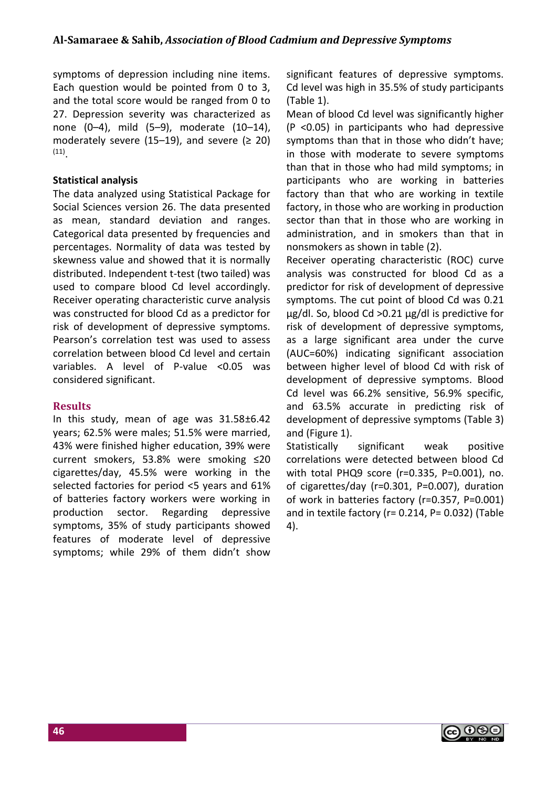symptoms of depression including nine items. Each question would be pointed from 0 to 3, and the total score would be ranged from 0 to 27. Depression severity was characterized as none (0–4), mild (5–9), moderate (10–14), moderately severe (15–19), and severe ( $\geq$  20) (11) .

### **Statistical analysis**

The data analyzed using Statistical Package for Social Sciences version 26. The data presented as mean, standard deviation and ranges. Categorical data presented by frequencies and percentages. Normality of data was tested by skewness value and showed that it is normally distributed. Independent t-test (two tailed) was used to compare blood Cd level accordingly. Receiver operating characteristic curve analysis was constructed for blood Cd as a predictor for risk of development of depressive symptoms. Pearson's correlation test was used to assess correlation between blood Cd level and certain variables. A level of P-value <0.05 was considered significant.

### **Results**

In this study, mean of age was 31.58±6.42 years; 62.5% were males; 51.5% were married, 43% were finished higher education, 39% were current smokers, 53.8% were smoking ≤20 cigarettes/day, 45.5% were working in the selected factories for period <5 years and 61% of batteries factory workers were working in production sector. Regarding depressive symptoms, 35% of study participants showed features of moderate level of depressive symptoms; while 29% of them didn't show significant features of depressive symptoms. Cd level was high in 35.5% of study participants (Table 1).

Mean of blood Cd level was significantly higher (P <0.05) in participants who had depressive symptoms than that in those who didn't have; in those with moderate to severe symptoms than that in those who had mild symptoms; in participants who are working in batteries factory than that who are working in textile factory, in those who are working in production sector than that in those who are working in administration, and in smokers than that in nonsmokers as shown in table (2).

Receiver operating characteristic (ROC) curve analysis was constructed for blood Cd as a predictor for risk of development of depressive symptoms. The cut point of blood Cd was 0.21 µg/dl. So, blood Cd >0.21 µg/dl is predictive for risk of development of depressive symptoms, as a large significant area under the curve (AUC=60%) indicating significant association between higher level of blood Cd with risk of development of depressive symptoms. Blood Cd level was 66.2% sensitive, 56.9% specific, and 63.5% accurate in predicting risk of development of depressive symptoms (Table 3) and (Figure 1).

Statistically significant weak positive correlations were detected between blood Cd with total PHQ9 score (r=0.335, P=0.001), no. of cigarettes/day (r=0.301, P=0.007), duration of work in batteries factory (r=0.357, P=0.001) and in textile factory ( $r= 0.214$ ,  $P= 0.032$ ) (Table 4).

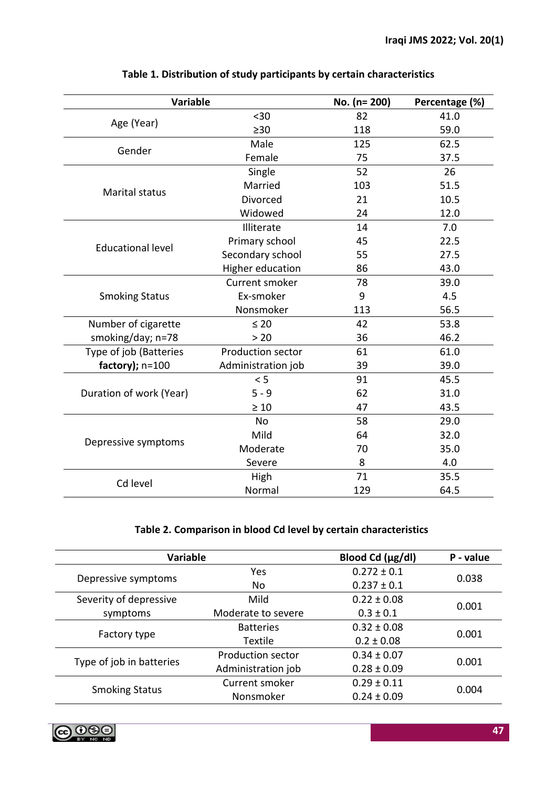| <b>Variable</b>          |                    | No. (n= 200) | Percentage (%) |
|--------------------------|--------------------|--------------|----------------|
|                          | $30$               | 82           | 41.0           |
| Age (Year)               | >30                | 118          | 59.0           |
| Gender                   | Male               | 125          | 62.5           |
|                          | Female             | 75           | 37.5           |
|                          | Single             | 52           | 26             |
| <b>Marital status</b>    | Married            | 103          | 51.5           |
|                          | Divorced           | 21           | 10.5           |
|                          | Widowed            | 24           | 12.0           |
|                          | Illiterate         | 14           | 7.0            |
| <b>Educational level</b> | Primary school     | 45           | 22.5           |
|                          | Secondary school   | 55           | 27.5           |
|                          | Higher education   | 86           | 43.0           |
|                          | Current smoker     | 78           | 39.0           |
| <b>Smoking Status</b>    | Ex-smoker          | 9            | 4.5            |
|                          | Nonsmoker          | 113          | 56.5           |
| Number of cigarette      | $\leq 20$          | 42           | 53.8           |
| smoking/day; n=78        | > 20               | 36           | 46.2           |
| Type of job (Batteries   | Production sector  | 61           | 61.0           |
| factory); $n=100$        | Administration job | 39           | 39.0           |
| Duration of work (Year)  | < 5                | 91           | 45.5           |
|                          | $5 - 9$            | 62           | 31.0           |
|                          | $\geq 10$          | 47           | 43.5           |
| Depressive symptoms      | <b>No</b>          | 58           | 29.0           |
|                          | Mild               | 64           | 32.0           |
|                          | Moderate           | 70           | 35.0           |
|                          | Severe             | 8            | 4.0            |
| Cd level                 | High               | 71           | 35.5           |
|                          | Normal             | 129          | 64.5           |

# **Table 1. Distribution of study participants by certain characteristics**

# **Table 2. Comparison in blood Cd level by certain characteristics**

| <b>Variable</b>          |                          | Blood Cd (µg/dl) | P - value |  |
|--------------------------|--------------------------|------------------|-----------|--|
| Depressive symptoms      | <b>Yes</b>               | $0.272 \pm 0.1$  | 0.038     |  |
|                          | No                       | $0.237 \pm 0.1$  |           |  |
| Severity of depressive   | Mild                     | $0.22 \pm 0.08$  |           |  |
| symptoms                 | Moderate to severe       | $0.3 \pm 0.1$    | 0.001     |  |
| Factory type             | <b>Batteries</b>         | $0.32 \pm 0.08$  | 0.001     |  |
|                          | <b>Textile</b>           | $0.2 \pm 0.08$   |           |  |
| Type of job in batteries | <b>Production sector</b> | $0.34 \pm 0.07$  | 0.001     |  |
|                          | Administration job       | $0.28 \pm 0.09$  |           |  |
|                          | Current smoker           | $0.29 \pm 0.11$  | 0.004     |  |
| <b>Smoking Status</b>    | Nonsmoker                | $0.24 \pm 0.09$  |           |  |

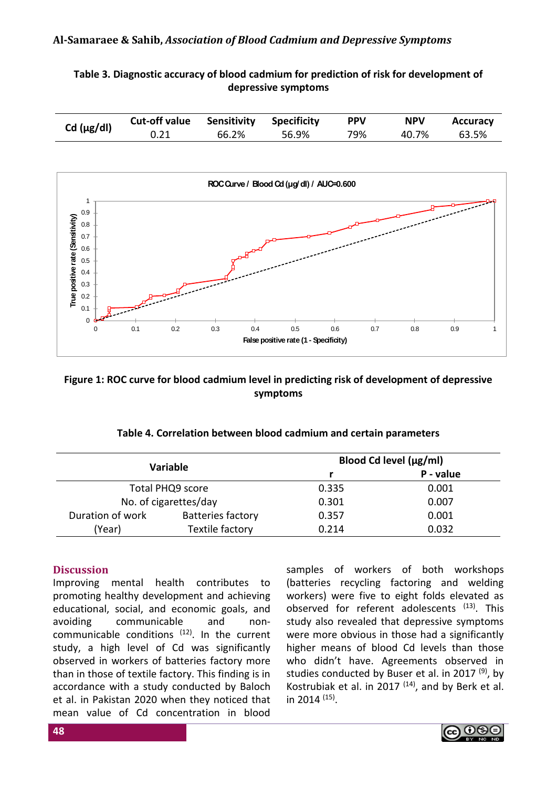### **Al-Samaraee & Sahib,** *Association of Blood Cadmium and Depressive Symptoms*

**Table 3. Diagnostic accuracy of blood cadmium for prediction of risk for development of depressive symptoms**

| Cd $(\mu g/d)$ | Cut-off value | <b>Sensitivity Specificity</b> |       | <b>PPV</b> | <b>NPV</b> | <b>Accuracy</b> |
|----------------|---------------|--------------------------------|-------|------------|------------|-----------------|
|                |               | 66.2%                          | 56.9% | 79%        | 40.7%      | 63.5%           |



### **Figure 1: ROC curve for blood cadmium level in predicting risk of development of depressive symptoms**

| <b>Variable</b>  |                          | Blood Cd level (µg/ml) |       |  |
|------------------|--------------------------|------------------------|-------|--|
|                  |                          | P - value              |       |  |
| Total PHQ9 score |                          | 0.335                  | 0.001 |  |
|                  | No. of cigarettes/day    | 0.301                  | 0.007 |  |
| Duration of work | <b>Batteries factory</b> | 0.357                  | 0.001 |  |
| (Year)           | Textile factory          | 0.214                  | 0.032 |  |

### **Table 4. Correlation between blood cadmium and certain parameters**

### **Discussion**

Improving mental health contributes to promoting healthy development and achieving educational, social, and economic goals, and avoiding communicable and noncommunicable conditions (12). In the current study, a high level of Cd was significantly observed in workers of batteries factory more than in those of textile factory. This finding is in accordance with a study conducted by Baloch et al. in Pakistan 2020 when they noticed that mean value of Cd concentration in blood

samples of workers of both workshops (batteries recycling factoring and welding workers) were five to eight folds elevated as observed for referent adolescents (13). This study also revealed that depressive symptoms were more obvious in those had a significantly higher means of blood Cd levels than those who didn't have. Agreements observed in studies conducted by Buser et al. in 2017  $(9)$ , by Kostrubiak et al. in 2017  $(14)$ , and by Berk et al. in 2014 (15) .

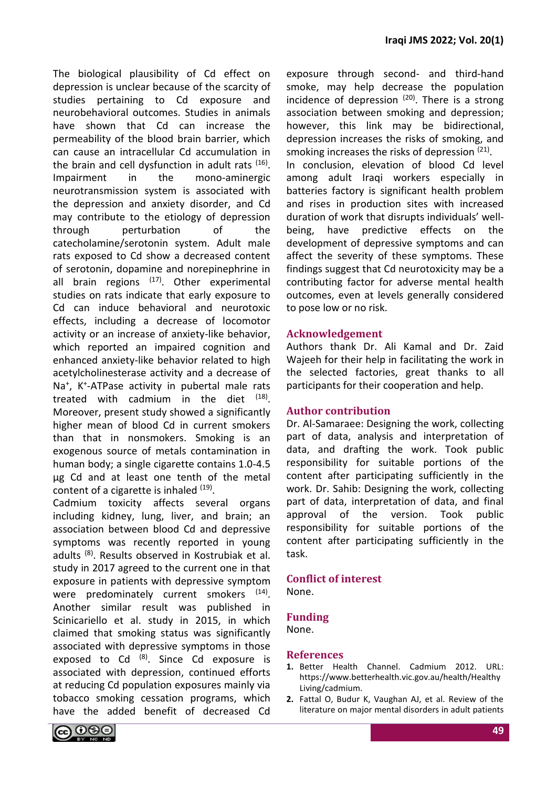The biological plausibility of Cd effect on depression is unclear because of the scarcity of studies pertaining to Cd exposure and neurobehavioral outcomes. Studies in animals have shown that Cd can increase the permeability of the blood brain barrier, which can cause an intracellular Cd accumulation in the brain and cell dysfunction in adult rats <sup>(16)</sup>. Impairment in the mono-aminergic neurotransmission system is associated with the depression and anxiety disorder, and Cd may contribute to the etiology of depression through perturbation of the catecholamine/serotonin system. Adult male rats exposed to Cd show a decreased content of serotonin, dopamine and norepinephrine in all brain regions  $^{(17)}$ . Other experimental studies on rats indicate that early exposure to Cd can induce behavioral and neurotoxic effects, including a decrease of locomotor activity or an increase of anxiety-like behavior, which reported an impaired cognition and enhanced anxiety-like behavior related to high acetylcholinesterase activity and a decrease of Na<sup>+</sup>, K<sup>+</sup>-ATPase activity in pubertal male rats treated with cadmium in the diet  $(18)$ . Moreover, present study showed a significantly higher mean of blood Cd in current smokers than that in nonsmokers. Smoking is an exogenous source of metals contamination in human body; a single cigarette contains 1.0-4.5 μg Cd and at least one tenth of the metal content of a cigarette is inhaled <sup>(19)</sup>.

Cadmium toxicity affects several organs including kidney, lung, liver, and brain; an association between blood Cd and depressive symptoms was recently reported in young adults (8). Results observed in Kostrubiak et al. study in 2017 agreed to the current one in that exposure in patients with depressive symptom were predominately current smokers <sup>(14)</sup>. Another similar result was published in Scinicariello et al. study in 2015, in which claimed that smoking status was significantly associated with depressive symptoms in those exposed to Cd  $(8)$ . Since Cd exposure is associated with depression, continued efforts at reducing Cd population exposures mainly via tobacco smoking cessation programs, which have the added benefit of decreased Cd exposure through second- and third-hand smoke, may help decrease the population incidence of depression  $(20)$ . There is a strong association between smoking and depression; however, this link may be bidirectional, depression increases the risks of smoking, and smoking increases the risks of depression <sup>(21)</sup>. In conclusion, elevation of blood Cd level among adult Iraqi workers especially in batteries factory is significant health problem and rises in production sites with increased duration of work that disrupts individuals' wellbeing, have predictive effects on the development of depressive symptoms and can affect the severity of these symptoms. These findings suggest that Cd neurotoxicity may be a contributing factor for adverse mental health outcomes, even at levels generally considered to pose low or no risk.

### **Acknowledgement**

Authors thank Dr. Ali Kamal and Dr. Zaid Wajeeh for their help in facilitating the work in the selected factories, great thanks to all participants for their cooperation and help.

### **Author contribution**

Dr. Al-Samaraee: Designing the work, collecting part of data, analysis and interpretation of data, and drafting the work. Took public responsibility for suitable portions of the content after participating sufficiently in the work. Dr. Sahib: Designing the work, collecting part of data, interpretation of data, and final approval of the version. Took public responsibility for suitable portions of the content after participating sufficiently in the task.

# **Conflict of interest**

None.

### **Funding**

None.

### **References**

- **1.** Better Health Channel. Cadmium 2012. URL: https://www.betterhealth.vic.gov.au/health/Healthy Living/cadmium.
- **2.** Fattal O, Budur K, Vaughan AJ, et al. Review of the literature on major mental disorders in adult patients